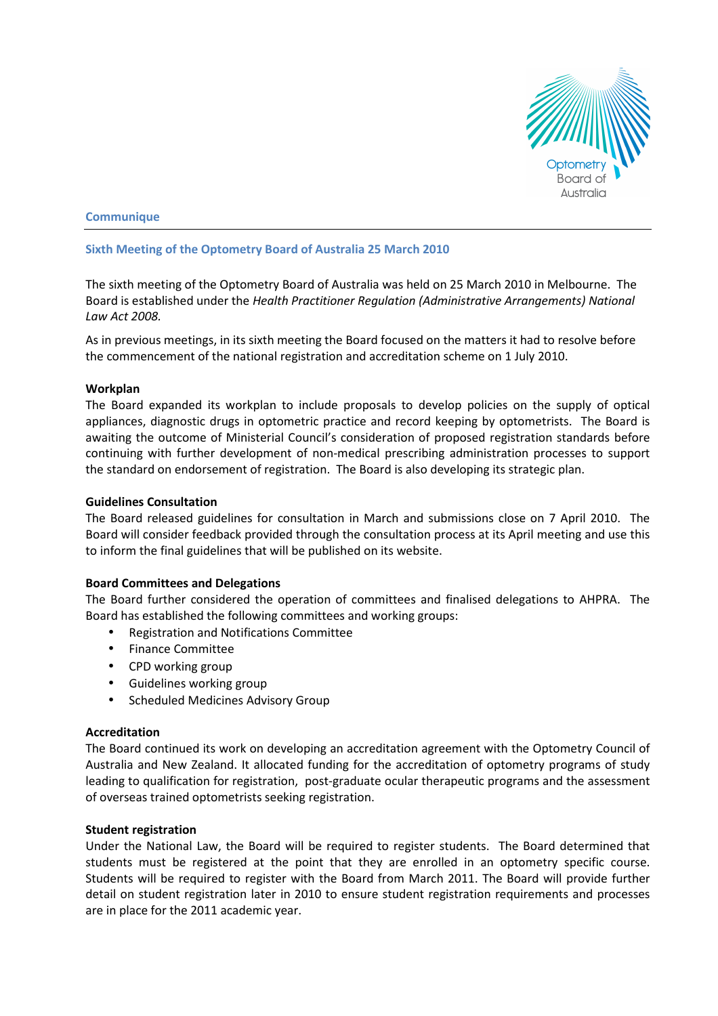

## **Communique**

### Sixth Meeting of the Optometry Board of Australia 25 March 2010

The sixth meeting of the Optometry Board of Australia was held on 25 March 2010 in Melbourne. The Board is established under the Health Practitioner Regulation (Administrative Arrangements) National Law Act 2008.

As in previous meetings, in its sixth meeting the Board focused on the matters it had to resolve before the commencement of the national registration and accreditation scheme on 1 July 2010.

#### Workplan

The Board expanded its workplan to include proposals to develop policies on the supply of optical appliances, diagnostic drugs in optometric practice and record keeping by optometrists. The Board is awaiting the outcome of Ministerial Council's consideration of proposed registration standards before continuing with further development of non-medical prescribing administration processes to support the standard on endorsement of registration. The Board is also developing its strategic plan.

#### Guidelines Consultation

The Board released guidelines for consultation in March and submissions close on 7 April 2010. The Board will consider feedback provided through the consultation process at its April meeting and use this to inform the final guidelines that will be published on its website.

### Board Committees and Delegations

The Board further considered the operation of committees and finalised delegations to AHPRA. The Board has established the following committees and working groups:

- Registration and Notifications Committee
- Finance Committee
- CPD working group
- Guidelines working group
- Scheduled Medicines Advisory Group

### Accreditation

The Board continued its work on developing an accreditation agreement with the Optometry Council of Australia and New Zealand. It allocated funding for the accreditation of optometry programs of study leading to qualification for registration, post-graduate ocular therapeutic programs and the assessment of overseas trained optometrists seeking registration.

#### Student registration

Under the National Law, the Board will be required to register students. The Board determined that students must be registered at the point that they are enrolled in an optometry specific course. Students will be required to register with the Board from March 2011. The Board will provide further detail on student registration later in 2010 to ensure student registration requirements and processes are in place for the 2011 academic year.